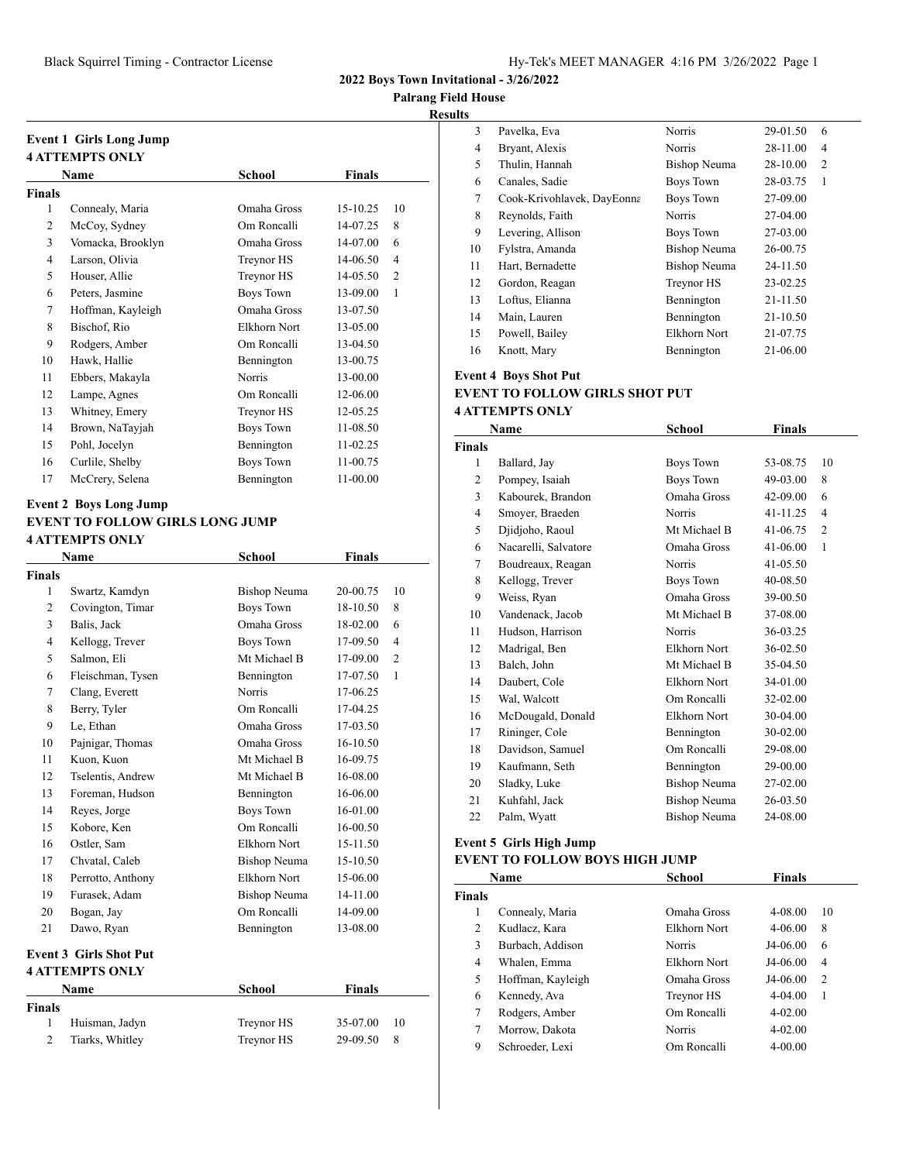**Palrang Field House**

**Results**

|        | Event 1 Girls Long Jump<br><b>4 ATTEMPTS ONLY</b> |               |              |                |
|--------|---------------------------------------------------|---------------|--------------|----------------|
|        | Name                                              | School        | Finals       |                |
| Finals |                                                   |               |              |                |
| 1      | Connealy, Maria                                   | Omaha Gross   | $15 - 10.25$ | 10             |
| 2      | McCoy, Sydney                                     | Om Roncalli   | 14-07.25     | 8              |
| 3      | Vomacka, Brooklyn                                 | Omaha Gross   | 14-07.00     | 6              |
| 4      | Larson, Olivia                                    | Treynor HS    | 14-06.50     | $\overline{4}$ |
| 5      | Houser, Allie                                     | Treynor HS    | 14-05.50     | $\overline{2}$ |
| 6      | Peters, Jasmine                                   | Boys Town     | 13-09.00     | 1              |
| 7      | Hoffman, Kayleigh                                 | Omaha Gross   | 13-07.50     |                |
| 8      | Bischof, Rio                                      | Elkhorn Nort  | 13-05.00     |                |
| 9      | Rodgers, Amber                                    | Om Roncalli   | 13-04.50     |                |
| 10     | Hawk, Hallie                                      | Bennington    | 13-00.75     |                |
| 11     | Ebbers, Makayla                                   | <b>Norris</b> | 13-00.00     |                |
| 12     | Lampe, Agnes                                      | Om Roncalli   | 12-06.00     |                |
| 13     | Whitney, Emery                                    | Treynor HS    | 12-05.25     |                |
| 14     | Brown, NaTayjah                                   | Boys Town     | 11-08.50     |                |
| 15     | Pohl, Jocelyn                                     | Bennington    | $11-02.25$   |                |
| 16     | Curlile, Shelby                                   | Boys Town     | 11-00.75     |                |
| 17     | McCrery, Selena                                   | Bennington    | 11-00.00     |                |

## **Event 2 Boys Long Jump EVENT TO FOLLOW GIRLS LONG JUMP 4 ATTEMPTS ONLY**

|                | Name                                             | <b>School</b>       | <b>Finals</b> |                |
|----------------|--------------------------------------------------|---------------------|---------------|----------------|
| Finals         |                                                  |                     |               |                |
| 1              | Swartz, Kamdyn                                   | <b>Bishop Neuma</b> | 20-00.75      | 10             |
| $\overline{c}$ | Covington, Timar                                 | <b>Boys Town</b>    | 18-10.50      | 8              |
| 3              | Balis, Jack                                      | Omaha Gross         | 18-02.00      | 6              |
| $\overline{4}$ | Kellogg, Trever                                  | <b>Boys Town</b>    | 17-09.50      | $\overline{4}$ |
| 5              | Salmon, Eli                                      | Mt Michael B        | 17-09.00      | $\overline{2}$ |
| 6              | Fleischman, Tysen                                | Bennington          | 17-07.50      | 1              |
| 7              | Clang, Everett                                   | <b>Norris</b>       | 17-06.25      |                |
| 8              | Berry, Tyler                                     | Om Roncalli         | 17-04.25      |                |
| 9              | Le, Ethan                                        | Omaha Gross         | 17-03.50      |                |
| 10             | Pajnigar, Thomas                                 | Omaha Gross         | 16-10.50      |                |
| 11             | Kuon, Kuon                                       | Mt Michael B        | 16-09.75      |                |
| 12             | Tselentis, Andrew                                | Mt Michael B        | 16-08.00      |                |
| 13             | Foreman, Hudson                                  | Bennington          | 16-06.00      |                |
| 14             | Reyes, Jorge                                     | <b>Boys Town</b>    | 16-01.00      |                |
| 15             | Kobore, Ken                                      | Om Roncalli         | 16-00.50      |                |
| 16             | Ostler, Sam                                      | Elkhorn Nort        | 15-11.50      |                |
| 17             | Chvatal, Caleb                                   | Bishop Neuma        | 15-10.50      |                |
| 18             | Perrotto, Anthony                                | Elkhorn Nort        | 15-06.00      |                |
| 19             | Furasek, Adam                                    | Bishop Neuma        | 14-11.00      |                |
| 20             | Bogan, Jay                                       | Om Roncalli         | 14-09.00      |                |
| 21             | Dawo, Ryan                                       | Bennington          | 13-08.00      |                |
|                | <b>Event 3 Girls Shot Put</b><br>4 ATTEMPTS ONLY |                     |               |                |

|               | Name            | School     | Finals   |    |
|---------------|-----------------|------------|----------|----|
| <b>Finals</b> |                 |            |          |    |
|               | Huisman, Jadyn  | Treynor HS | 35-07.00 | 10 |
|               | Tiarks, Whitley | Treynor HS | 29-09.50 |    |

| LS |                            |                     |          |   |  |
|----|----------------------------|---------------------|----------|---|--|
| 3  | Pavelka, Eva               | Norris              | 29-01.50 | 6 |  |
| 4  | Bryant, Alexis             | <b>Norris</b>       | 28-11.00 | 4 |  |
| 5  | Thulin, Hannah             | <b>Bishop Neuma</b> | 28-10.00 | 2 |  |
| 6  | Canales, Sadie             | Boys Town           | 28-03.75 | 1 |  |
| 7  | Cook-Krivohlavek, DayEonna | Boys Town           | 27-09.00 |   |  |
| 8  | Reynolds, Faith            | <b>Norris</b>       | 27-04.00 |   |  |
| 9  | Levering, Allison          | Boys Town           | 27-03.00 |   |  |
| 10 | Fylstra, Amanda            | Bishop Neuma        | 26-00.75 |   |  |
| 11 | Hart, Bernadette           | <b>Bishop Neuma</b> | 24-11.50 |   |  |
| 12 | Gordon, Reagan             | Treynor HS          | 23-02.25 |   |  |
| 13 | Loftus, Elianna            | Bennington          | 21-11.50 |   |  |
| 14 | Main, Lauren               | Bennington          | 21-10.50 |   |  |
| 15 | Powell, Bailey             | Elkhorn Nort        | 21-07.75 |   |  |
| 16 | Knott, Mary                | Bennington          | 21-06.00 |   |  |
|    |                            |                     |          |   |  |

## **Event 4 Boys Shot Put EVENT TO FOLLOW GIRLS SHOT PUT 4 ATTEMPTS ONLY**

| Name                 | School              | Finals   |                |
|----------------------|---------------------|----------|----------------|
|                      |                     |          |                |
| Ballard, Jay         | Boys Town           | 53-08.75 | 10             |
| Pompey, Isaiah       | <b>Boys Town</b>    | 49-03.00 | 8              |
| Kabourek, Brandon    | Omaha Gross         | 42-09.00 | 6              |
| Smoyer, Braeden      | <b>Norris</b>       | 41-11.25 | $\overline{4}$ |
| Djidjoho, Raoul      | Mt Michael B        | 41-06.75 | $\overline{2}$ |
| Nacarelli, Salvatore | Omaha Gross         | 41-06.00 | 1              |
| Boudreaux, Reagan    | <b>Norris</b>       | 41-05.50 |                |
| Kellogg, Trever      | Boys Town           | 40-08.50 |                |
| Weiss, Ryan          | Omaha Gross         | 39-00.50 |                |
| Vandenack, Jacob     | Mt Michael B        | 37-08.00 |                |
| Hudson, Harrison     | Norris              | 36-03.25 |                |
| Madrigal, Ben        | Elkhorn Nort        | 36-02.50 |                |
| Balch, John          | Mt Michael B        | 35-04.50 |                |
| Daubert, Cole        | Elkhorn Nort        | 34-01.00 |                |
| Wal, Walcott         | Om Roncalli         | 32-02.00 |                |
| McDougald, Donald    | Elkhorn Nort        | 30-04.00 |                |
| Rininger, Cole       | Bennington          | 30-02.00 |                |
| Davidson, Samuel     | Om Roncalli         | 29-08.00 |                |
| Kaufmann, Seth       | Bennington          | 29-00.00 |                |
| Sladky, Luke         | Bishop Neuma        | 27-02.00 |                |
| Kuhfahl, Jack        | Bishop Neuma        | 26-03.50 |                |
| Palm, Wyatt          | <b>Bishop Neuma</b> | 24-08.00 |                |
|                      |                     |          |                |

# **Event 5 Girls High Jump**

#### **EVENT TO FOLLOW BOYS HIGH JUMP**

|               | <b>Name</b>       | School       | <b>Finals</b> |                |
|---------------|-------------------|--------------|---------------|----------------|
| <b>Finals</b> |                   |              |               |                |
| 1             | Connealy, Maria   | Omaha Gross  | 4-08.00       | 10             |
| 2             | Kudlacz, Kara     | Elkhorn Nort | $4 - 06.00$   | 8              |
| 3             | Burbach, Addison  | Norris       | J4-06.00      | 6              |
| 4             | Whalen, Emma      | Elkhorn Nort | J4-06.00      | 4              |
| 5             | Hoffman, Kayleigh | Omaha Gross  | J4-06.00      | $\overline{2}$ |
| 6             | Kennedy, Ava      | Treynor HS   | $4 - 04.00$   |                |
| 7             | Rodgers, Amber    | Om Roncalli  | $4 - 02.00$   |                |
| 7             | Morrow, Dakota    | Norris       | $4 - 02.00$   |                |
| 9             | Schroeder, Lexi   | Om Roncalli  | $4 - 00.00$   |                |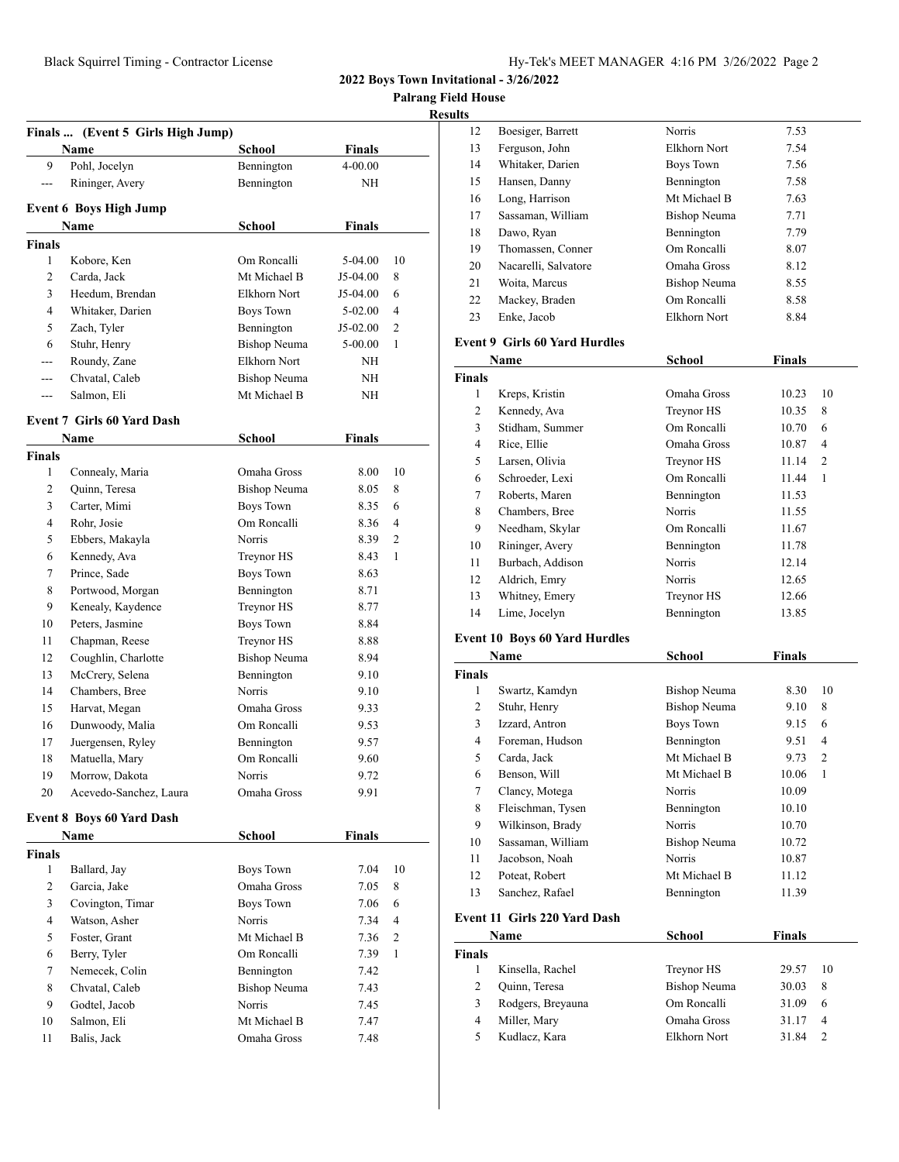**Palrang Field House**

| Results |
|---------|
|         |

|                    | <b>Name</b>                       | School              | Finals        |    |
|--------------------|-----------------------------------|---------------------|---------------|----|
| 9                  | Pohl, Jocelyn                     | Bennington          | 4-00.00       |    |
| ---                | Rininger, Avery                   | Bennington          | NH            |    |
|                    | <b>Event 6 Boys High Jump</b>     |                     |               |    |
|                    | Name                              | <b>School</b>       | Finals        |    |
| <b>Finals</b>      |                                   |                     |               |    |
| 1                  | Kobore, Ken                       | Om Roncalli         | 5-04.00       | 10 |
| 2                  | Carda, Jack                       | Mt Michael B        | J5-04.00      | 8  |
| 3                  | Heedum, Brendan                   | Elkhorn Nort        | J5-04.00      | 6  |
| $\overline{4}$     | Whitaker, Darien                  | Boys Town           | $5-02.00$     | 4  |
| 5                  | Zach, Tyler                       | Bennington          | J5-02.00      | 2  |
| 6                  | Stuhr, Henry                      | <b>Bishop Neuma</b> | 5-00.00       | 1  |
| ---                | Roundy, Zane                      | Elkhorn Nort        | NH            |    |
| $---$              | Chvatal, Caleb                    | <b>Bishop Neuma</b> | NH            |    |
| $---$              | Salmon, Eli                       | Mt Michael B        | NH            |    |
|                    | <b>Event 7 Girls 60 Yard Dash</b> |                     |               |    |
|                    | <b>Name</b>                       | School              | Finals        |    |
|                    |                                   |                     |               |    |
| <b>Finals</b><br>1 | Connealy, Maria                   | Omaha Gross         | 8.00          | 10 |
| 2                  | Quinn, Teresa                     | Bishop Neuma        | 8.05          | 8  |
| 3                  | Carter, Mimi                      | <b>Boys Town</b>    | 8.35          | 6  |
| 4                  | Rohr, Josie                       | Om Roncalli         | 8.36          | 4  |
| 5                  | Ebbers, Makayla                   | Norris              | 8.39          | 2  |
| 6                  | Kennedy, Ava                      | Treynor HS          | 8.43          | 1  |
| 7                  | Prince, Sade                      | <b>Boys Town</b>    | 8.63          |    |
| 8                  | Portwood, Morgan                  | Bennington          | 8.71          |    |
| 9                  | Kenealy, Kaydence                 | Treynor HS          | 8.77          |    |
| 10                 | Peters, Jasmine                   | Boys Town           | 8.84          |    |
| 11                 | Chapman, Reese                    | Treynor HS          | 8.88          |    |
| 12                 | Coughlin, Charlotte               | <b>Bishop Neuma</b> | 8.94          |    |
| 13                 | McCrery, Selena                   | Bennington          | 9.10          |    |
| 14                 | Chambers, Bree                    | <b>Norris</b>       | 9.10          |    |
| 15                 | Harvat, Megan                     | Omaha Gross         | 9.33          |    |
| 16                 | Dunwoody, Malia                   | Om Roncalli         | 9.53          |    |
| 17                 | Juergensen, Ryley                 | Bennington          | 9.57          |    |
| 18                 | Matuella, Mary                    | Om Roncalli         | 9.60          |    |
| 19                 | Morrow, Dakota                    | Norris              | 9.72          |    |
| 20                 | Acevedo-Sanchez, Laura            | Omaha Gross         | 9.91          |    |
|                    |                                   |                     |               |    |
|                    | <b>Event 8 Boys 60 Yard Dash</b>  |                     |               |    |
|                    | Name                              | School              | <b>Finals</b> |    |
| <b>Finals</b>      |                                   |                     |               |    |
| 1                  | Ballard, Jay                      | Boys Town           | 7.04          | 10 |
| $\overline{2}$     | Garcia, Jake                      | Omaha Gross         | 7.05          | 8  |
| 3                  | Covington, Timar                  | <b>Boys Town</b>    | 7.06          | 6  |
| 4                  | Watson, Asher                     | Norris              | 7.34          | 4  |
| 5                  | Foster, Grant                     | Mt Michael B        | 7.36          | 2  |
| 6                  | Berry, Tyler                      | Om Roncalli         | 7.39          | 1  |
| 7                  | Nemecek, Colin                    | Bennington          | 7.42          |    |
| 8                  | Chvatal, Caleb                    | <b>Bishop Neuma</b> | 7.43          |    |
| 9                  | Godtel, Jacob                     | Norris              | 7.45          |    |
| 10                 | Salmon, Eli                       | Mt Michael B        | 7.47          |    |
| 11                 | Balis, Jack                       | Omaha Gross         | 7.48          |    |

| .S |                      |               |      |
|----|----------------------|---------------|------|
| 12 | Boesiger, Barrett    | <b>Norris</b> | 7.53 |
| 13 | Ferguson, John       | Elkhorn Nort  | 7.54 |
| 14 | Whitaker, Darien     | Boys Town     | 7.56 |
| 15 | Hansen, Danny        | Bennington    | 7.58 |
| 16 | Long, Harrison       | Mt Michael B  | 7.63 |
| 17 | Sassaman, William    | Bishop Neuma  | 7.71 |
| 18 | Dawo, Ryan           | Bennington    | 7.79 |
| 19 | Thomassen, Conner    | Om Roncalli   | 8.07 |
| 20 | Nacarelli, Salvatore | Omaha Gross   | 8.12 |
| 21 | Woita, Marcus        | Bishop Neuma  | 8.55 |
| 22 | Mackey, Braden       | Om Roncalli   | 8.58 |
| 23 | Enke, Jacob          | Elkhorn Nort  | 8.84 |
|    |                      |               |      |

#### **Event 9 Girls 60 Yard Hurdles**

|       | Name             | School      | Finals |    |
|-------|------------------|-------------|--------|----|
| inals |                  |             |        |    |
| 1     | Kreps, Kristin   | Omaha Gross | 10.23  | 10 |
| 2     | Kennedy, Ava     | Treynor HS  | 10.35  | 8  |
| 3     | Stidham, Summer  | Om Roncalli | 10.70  | 6  |
| 4     | Rice, Ellie      | Omaha Gross | 10.87  | 4  |
| 5     | Larsen, Olivia   | Treynor HS  | 11.14  | 2  |
| 6     | Schroeder, Lexi  | Om Roncalli | 11.44  | 1  |
| 7     | Roberts, Maren   | Bennington  | 11.53  |    |
| 8     | Chambers, Bree   | Norris      | 11.55  |    |
| 9     | Needham, Skylar  | Om Roncalli | 11.67  |    |
| 10    | Rininger, Avery  | Bennington  | 11.78  |    |
| 11    | Burbach, Addison | Norris      | 12.14  |    |
| 12    | Aldrich, Emry    | Norris      | 12.65  |    |
| 13    | Whitney, Emery   | Treynor HS  | 12.66  |    |
| 14    | Lime, Jocelyn    | Bennington  | 13.85  |    |

## **Event 10 Boys 60 Yard Hurdles**

|               | Name                         | School        | <b>Finals</b> |                |
|---------------|------------------------------|---------------|---------------|----------------|
| <b>Finals</b> |                              |               |               |                |
| 1             | Swartz, Kamdyn               | Bishop Neuma  | 8.30          | 10             |
| 2             | Stuhr, Henry                 | Bishop Neuma  | 9.10          | 8              |
| 3             | Izzard, Antron               | Boys Town     | 9.15          | 6              |
| 4             | Foreman, Hudson              | Bennington    | 9.51          | 4              |
| 5             | Carda, Jack                  | Mt Michael B  | 9.73          | $\overline{c}$ |
| 6             | Benson, Will                 | Mt Michael B  | 10.06         | 1              |
| 7             | Clancy, Motega               | Norris        | 10.09         |                |
| 8             | Fleischman, Tysen            | Bennington    | 10.10         |                |
| 9             | Wilkinson, Brady             | <b>Norris</b> | 10.70         |                |
| 10            | Sassaman, William            | Bishop Neuma  | 10.72         |                |
| 11            | Jacobson, Noah               | <b>Norris</b> | 10.87         |                |
| 12            | Poteat, Robert               | Mt Michael B  | 11.12         |                |
| 13            | Sanchez, Rafael              | Bennington    | 11.39         |                |
|               | Event 11 Girls 220 Yard Dash |               |               |                |
|               | Name                         | School        | Finals        |                |
| <b>Finals</b> |                              |               |               |                |
| 1             | Kinsella, Rachel             | Treynor HS    | 29.57         | 10             |
| 2             | Quinn, Teresa                | Bishop Neuma  | 30.03         | 8              |
| 3             | Rodgers, Breyauna            | Om Roncalli   | 31.09         | 6              |
| 4             | Miller, Mary                 | Omaha Gross   | 31.17         | 4              |

Kudlacz, Kara Elkhorn Nort 31.84 2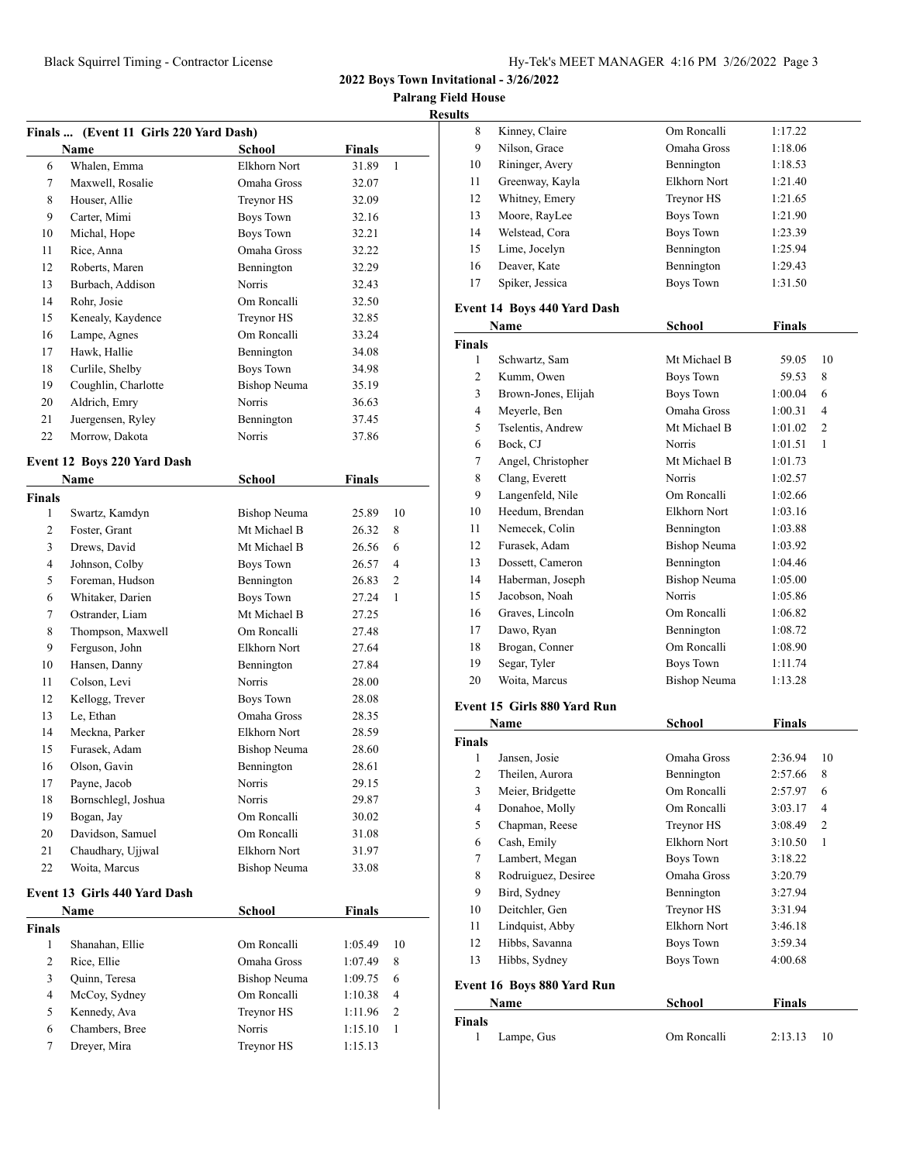**2022 Boys Town Invitational - 3/26/2022**

**Palrang Field House Resul** 

| Finals  (Event 11 Girls 220 Yard Dash) |                              |                     |               |                |  |
|----------------------------------------|------------------------------|---------------------|---------------|----------------|--|
|                                        | <b>Name</b>                  | School              | <b>Finals</b> |                |  |
| 6                                      | Whalen, Emma                 | Elkhorn Nort        | 31.89         | $\mathbf{1}$   |  |
| 7                                      | Maxwell, Rosalie             | Omaha Gross         | 32.07         |                |  |
| 8                                      | Houser, Allie                | Treynor HS          | 32.09         |                |  |
| 9                                      | Carter, Mimi                 | Boys Town           | 32.16         |                |  |
| 10                                     | Michal, Hope                 | <b>Boys Town</b>    | 32.21         |                |  |
| 11                                     | Rice, Anna                   | Omaha Gross         | 32.22         |                |  |
| 12                                     | Roberts, Maren               | Bennington          | 32.29         |                |  |
| 13                                     | Burbach, Addison             | <b>Norris</b>       | 32.43         |                |  |
| 14                                     | Rohr, Josie                  | Om Roncalli         | 32.50         |                |  |
| 15                                     | Kenealy, Kaydence            | Treynor HS          | 32.85         |                |  |
| 16                                     | Lampe, Agnes                 | Om Roncalli         | 33.24         |                |  |
| 17                                     | Hawk, Hallie                 | Bennington          | 34.08         |                |  |
| 18                                     | Curlile, Shelby              | <b>Boys Town</b>    | 34.98         |                |  |
| 19                                     | Coughlin, Charlotte          | <b>Bishop Neuma</b> | 35.19         |                |  |
| 20                                     | Aldrich, Emry                | Norris              | 36.63         |                |  |
| 21                                     | Juergensen, Ryley            | Bennington          | 37.45         |                |  |
| 22                                     | Morrow, Dakota               | <b>Norris</b>       | 37.86         |                |  |
|                                        | Event 12 Boys 220 Yard Dash  |                     |               |                |  |
|                                        | <b>Name</b>                  | School              | Finals        |                |  |
| <b>Finals</b>                          |                              |                     |               |                |  |
| 1                                      | Swartz, Kamdyn               | Bishop Neuma        | 25.89         | 10             |  |
| 2                                      | Foster, Grant                | Mt Michael B        | 26.32         | 8              |  |
| 3                                      | Drews, David                 | Mt Michael B        | 26.56         | 6              |  |
| $\overline{4}$                         | Johnson, Colby               | <b>Boys Town</b>    | 26.57         | $\overline{4}$ |  |
| 5                                      | Foreman, Hudson              | Bennington          | 26.83         | $\overline{c}$ |  |
| 6                                      | Whitaker, Darien             | <b>Boys Town</b>    | 27.24         | 1              |  |
| 7                                      | Ostrander, Liam              | Mt Michael B        | 27.25         |                |  |
| 8                                      | Thompson, Maxwell            | Om Roncalli         | 27.48         |                |  |
| 9                                      | Ferguson, John               | Elkhorn Nort        | 27.64         |                |  |
| 10                                     | Hansen, Danny                | Bennington          | 27.84         |                |  |
| 11                                     | Colson, Levi                 | Norris              | 28.00         |                |  |
| 12                                     | Kellogg, Trever              | <b>Boys Town</b>    | 28.08         |                |  |
| 13                                     | Le, Ethan                    | Omaha Gross         | 28.35         |                |  |
| 14                                     | Meckna, Parker               | Elkhorn Nort        | 28.59         |                |  |
| 15                                     | Furasek, Adam                | Bishop Neuma        | 28.60         |                |  |
| 16                                     | Olson, Gavin                 | Bennington          | 28.61         |                |  |
| 17                                     | Payne, Jacob                 | Norris              | 29.15         |                |  |
| 18                                     | Bornschlegl, Joshua          | Norris              | 29.87         |                |  |
| 19                                     | Bogan, Jay                   | Om Roncalli         | 30.02         |                |  |
| 20                                     | Davidson, Samuel             | Om Roncalli         | 31.08         |                |  |
| 21                                     | Chaudhary, Ujjwal            | Elkhorn Nort        | 31.97         |                |  |
| 22                                     | Woita, Marcus                | <b>Bishop Neuma</b> | 33.08         |                |  |
|                                        | Event 13 Girls 440 Yard Dash |                     |               |                |  |
|                                        | <b>Name</b>                  | <b>School</b>       | <b>Finals</b> |                |  |
| <b>Finals</b>                          |                              |                     |               |                |  |
| 1                                      | Shanahan, Ellie              | Om Roncalli         | 1:05.49       | 10             |  |
| 2                                      | Rice, Ellie                  | Omaha Gross         | 1:07.49       | 8              |  |
| 3                                      | Quinn, Teresa                | Bishop Neuma        | 1:09.75       | 6              |  |
| 4                                      | McCoy, Sydney                | Om Roncalli         | 1:10.38       | 4              |  |
| 5                                      | Kennedy, Ava                 | Treynor HS          | 1:11.96       | 2              |  |
| 6                                      | Chambers, Bree               | Norris              | 1:15.10       | 1              |  |
| $\tau$                                 | Dreyer, Mira                 | Treynor HS          | 1:15.13       |                |  |
|                                        |                              |                     |               |                |  |

| lts  |                             |              |               |  |
|------|-----------------------------|--------------|---------------|--|
| 8    | Kinney, Claire              | Om Roncalli  | 1:17.22       |  |
| 9    | Nilson, Grace               | Omaha Gross  | 1:18.06       |  |
| 10   | Rininger, Avery             | Bennington   | 1:18.53       |  |
| 11   | Greenway, Kayla             | Elkhorn Nort | 1:21.40       |  |
| 12   | Whitney, Emery              | Treynor HS   | 1:21.65       |  |
| 13   | Moore, RayLee               | Boys Town    | 1:21.90       |  |
| 14   | Welstead, Cora              | Boys Town    | 1:23.39       |  |
| 15   | Lime, Jocelyn               | Bennington   | 1:25.94       |  |
| 16   | Deaver, Kate                | Bennington   | 1:29.43       |  |
| 17   | Spiker, Jessica             | Boys Town    | 1:31.50       |  |
|      | Event 14 Boys 440 Yard Dash |              |               |  |
| Name |                             | School       | <b>Finals</b> |  |

| Name          |                     | School              | Finals  |                |
|---------------|---------------------|---------------------|---------|----------------|
| <b>Finals</b> |                     |                     |         |                |
| 1             | Schwartz, Sam       | Mt Michael B        | 59.05   | 10             |
| 2             | Kumm, Owen          | Boys Town           | 59.53   | 8              |
| 3             | Brown-Jones, Elijah | Boys Town           | 1:00.04 | 6              |
| 4             | Meyerle, Ben        | Omaha Gross         | 1:00.31 | $\overline{4}$ |
| 5             | Tselentis, Andrew   | Mt Michael B        | 1:01.02 | $\overline{2}$ |
| 6             | Bock, CJ            | <b>Norris</b>       | 1:01.51 | 1              |
| 7             | Angel, Christopher  | Mt Michael B        | 1:01.73 |                |
| 8             | Clang, Everett      | Norris              | 1:02.57 |                |
| 9             | Langenfeld, Nile    | Om Roncalli         | 1:02.66 |                |
| 10            | Heedum, Brendan     | Elkhorn Nort        | 1:03.16 |                |
| 11            | Nemecek, Colin      | Bennington          | 1:03.88 |                |
| 12            | Furasek, Adam       | <b>Bishop Neuma</b> | 1:03.92 |                |
| 13            | Dossett, Cameron    | Bennington          | 1:04.46 |                |
| 14            | Haberman, Joseph    | Bishop Neuma        | 1:05.00 |                |
| 15            | Jacobson, Noah      | Norris              | 1:05.86 |                |
| 16            | Graves, Lincoln     | Om Roncalli         | 1:06.82 |                |
| 17            | Dawo, Ryan          | Bennington          | 1:08.72 |                |
| 18            | Brogan, Conner      | Om Roncalli         | 1:08.90 |                |
| 19            | Segar, Tyler        | Boys Town           | 1:11.74 |                |
| 20            | Woita, Marcus       | Bishop Neuma        | 1:13.28 |                |
|               |                     |                     |         |                |

## **Event 15 Girls 880 Yard Run**

| Name          |                            | <b>School</b>    | <b>Finals</b> |                |
|---------------|----------------------------|------------------|---------------|----------------|
| Finals        |                            |                  |               |                |
| 1             | Jansen, Josie              | Omaha Gross      | 2:36.94       | 10             |
| 2             | Theilen, Aurora            | Bennington       | 2:57.66       | 8              |
| 3             | Meier, Bridgette           | Om Roncalli      | 2:57.97       | 6              |
| 4             | Donahoe, Molly             | Om Roncalli      | 3:03.17       | 4              |
| 5             | Chapman, Reese             | Treynor HS       | 3:08.49       | $\overline{c}$ |
| 6             | Cash, Emily                | Elkhorn Nort     | 3:10.50       | 1              |
| 7             | Lambert, Megan             | Boys Town        | 3:18.22       |                |
| 8             | Rodruiguez, Desiree        | Omaha Gross      | 3:20.79       |                |
| 9             | Bird, Sydney               | Bennington       | 3:27.94       |                |
| 10            | Deitchler, Gen             | Treynor HS       | 3:31.94       |                |
| 11            | Lindquist, Abby            | Elkhorn Nort     | 3:46.18       |                |
| 12            | Hibbs, Savanna             | <b>Boys Town</b> | 3:59.34       |                |
| 13            | Hibbs, Sydney              | Boys Town        | 4:00.68       |                |
|               | Event 16 Boys 880 Yard Run |                  |               |                |
| Name          |                            | School           | Finals        |                |
| <b>Finals</b> |                            |                  |               |                |
| 1             | Lampe, Gus                 | Om Roncalli      | 2:13.13       | 10             |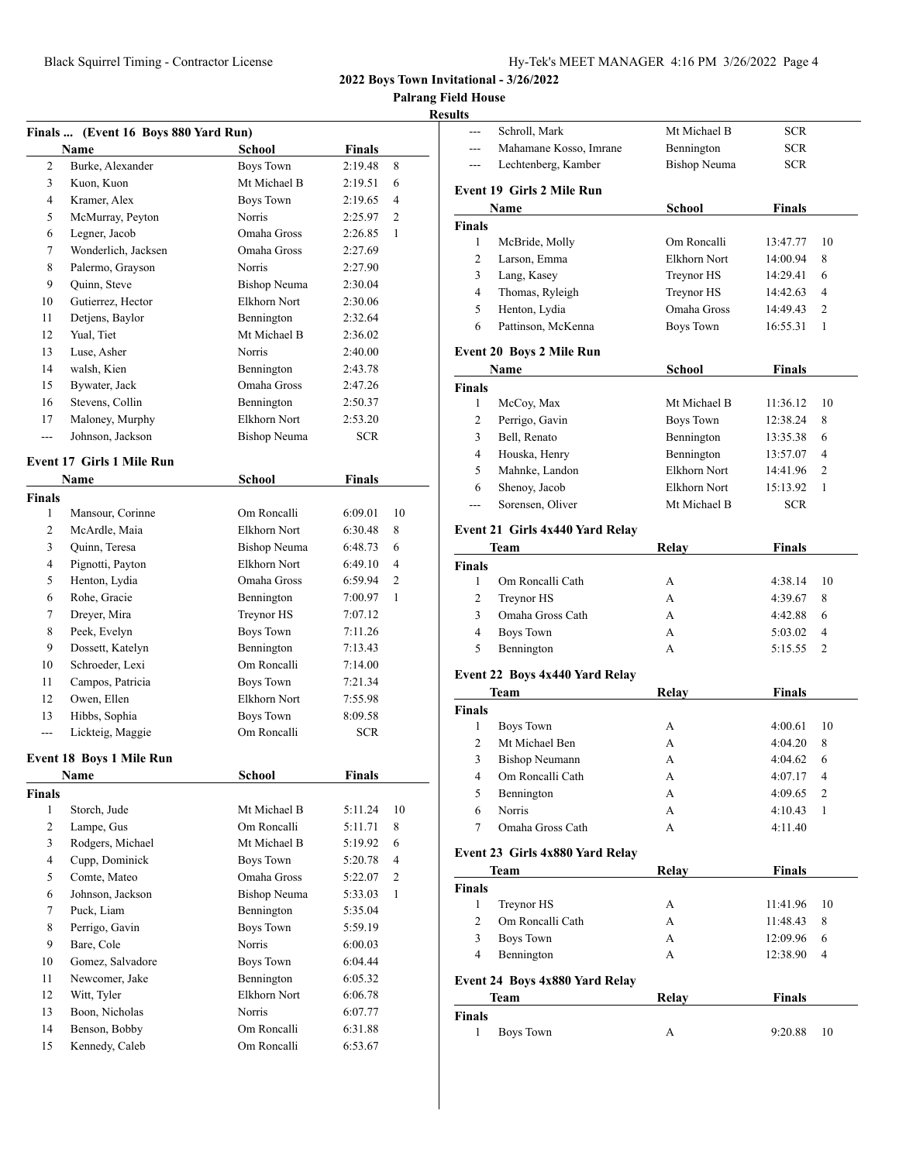**Field House** 

| 2:19.48<br>2<br>Burke, Alexander<br><b>Boys Town</b><br>3<br>Kuon, Kuon<br>Mt Michael B<br>2:19.51<br>Kramer, Alex<br><b>Boys Town</b><br>4<br>2:19.65<br>5<br>McMurray, Peyton<br>Norris<br>2:25.97<br>Legner, Jacob<br>Omaha Gross<br>6<br>2:26.85<br>Wonderlich, Jacksen<br>Omaha Gross<br>7<br>2:27.69<br>Palermo, Grayson<br>Norris<br>8<br>2:27.90<br>9<br>Quinn, Steve<br>Bishop Neuma<br>2:30.04<br>Gutierrez, Hector<br>Elkhorn Nort<br>10<br>2:30.06<br>Detjens, Baylor<br>Bennington<br>11<br>2:32.64<br>Mt Michael B<br>Yual, Tiet<br>12<br>2:36.02<br>Norris<br>13<br>Luse, Asher<br>2:40.00<br>walsh, Kien<br>14<br>Bennington<br>2:43.78<br>Omaha Gross<br>Bywater, Jack<br>15<br>2:47.26<br>Stevens, Collin<br>16<br>Bennington<br>2:50.37<br>Elkhorn Nort<br>Maloney, Murphy<br>17<br>2:53.20<br>Johnson, Jackson<br><b>Bishop Neuma</b><br><b>SCR</b><br>---<br>School<br>Finals<br>Name<br>Om Roncalli<br>1<br>Mansour, Corinne<br>6:09.01<br>McArdle, Maia<br>Elkhorn Nort<br>2<br>6:30.48<br>3<br>Quinn, Teresa<br><b>Bishop Neuma</b><br>6:48.73<br>Elkhorn Nort<br>4<br>Pignotti, Payton<br>6:49.10<br>Henton, Lydia<br>Omaha Gross<br>5<br>6:59.94<br>6<br>Rohe, Gracie<br>Bennington<br>7:00.97<br>Dreyer, Mira<br>Treynor HS<br>7<br>7:07.12<br>Peek, Evelyn<br><b>Boys Town</b><br>8<br>7:11.26<br>Dossett, Katelyn<br>Bennington<br>9<br>7:13.43<br>Om Roncalli<br>Schroeder, Lexi<br>10<br>7:14.00<br>Campos, Patricia<br>Boys Town<br>11<br>7:21.34<br>12<br>Owen, Ellen<br>Elkhorn Nort<br>7:55.98<br>Hibbs, Sophia<br><b>Boys Town</b><br>13<br>8:09.58<br>Om Roncalli<br>Lickteig, Maggie<br><b>SCR</b><br>$\overline{a}$<br><b>School</b><br><b>Finals</b><br>Name<br>1<br>Storch, Jude<br>Mt Michael B<br>5:11.24<br>$\overline{2}$<br>Lampe, Gus<br>Om Roncalli<br>5:11.71<br>3<br>Rodgers, Michael<br>Mt Michael B<br>5:19.92<br>Cupp, Dominick<br>4<br>Boys Town<br>5:20.78<br>5<br>Comte, Mateo<br>Omaha Gross<br>5:22.07<br>Johnson, Jackson<br><b>Bishop Neuma</b><br>6<br>5:33.03<br>7<br>Puck, Liam<br>Bennington<br>5:35.04<br><b>Boys Town</b><br>8<br>Perrigo, Gavin<br>5:59.19<br>9<br>Bare, Cole<br>Norris<br>6:00.03<br><b>Boys Town</b><br>10<br>Gomez, Salvadore<br>6:04.44<br>Newcomer, Jake<br>11<br>Bennington<br>6:05.32<br>Elkhorn Nort<br>Witt, Tyler<br>12<br>6:06.78<br>13<br>Boon, Nicholas<br>Norris<br>6:07.77<br>Benson, Bobby<br>6:31.88<br>14<br>Om Roncalli | Finals  (Event 16 Boys 880 Yard Run) |        |        |                |
|-------------------------------------------------------------------------------------------------------------------------------------------------------------------------------------------------------------------------------------------------------------------------------------------------------------------------------------------------------------------------------------------------------------------------------------------------------------------------------------------------------------------------------------------------------------------------------------------------------------------------------------------------------------------------------------------------------------------------------------------------------------------------------------------------------------------------------------------------------------------------------------------------------------------------------------------------------------------------------------------------------------------------------------------------------------------------------------------------------------------------------------------------------------------------------------------------------------------------------------------------------------------------------------------------------------------------------------------------------------------------------------------------------------------------------------------------------------------------------------------------------------------------------------------------------------------------------------------------------------------------------------------------------------------------------------------------------------------------------------------------------------------------------------------------------------------------------------------------------------------------------------------------------------------------------------------------------------------------------------------------------------------------------------------------------------------------------------------------------------------------------------------------------------------------------------------------------------------------------------------------------------------------------------------------------------------------------------------------------------------------------------------------------------------------------|--------------------------------------|--------|--------|----------------|
| Event 17 Girls 1 Mile Run<br><b>Finals</b><br>Event 18 Boys 1 Mile Run<br><b>Finals</b>                                                                                                                                                                                                                                                                                                                                                                                                                                                                                                                                                                                                                                                                                                                                                                                                                                                                                                                                                                                                                                                                                                                                                                                                                                                                                                                                                                                                                                                                                                                                                                                                                                                                                                                                                                                                                                                                                                                                                                                                                                                                                                                                                                                                                                                                                                                                       | Name                                 | School | Finals |                |
|                                                                                                                                                                                                                                                                                                                                                                                                                                                                                                                                                                                                                                                                                                                                                                                                                                                                                                                                                                                                                                                                                                                                                                                                                                                                                                                                                                                                                                                                                                                                                                                                                                                                                                                                                                                                                                                                                                                                                                                                                                                                                                                                                                                                                                                                                                                                                                                                                               |                                      |        |        | 8<br>6         |
|                                                                                                                                                                                                                                                                                                                                                                                                                                                                                                                                                                                                                                                                                                                                                                                                                                                                                                                                                                                                                                                                                                                                                                                                                                                                                                                                                                                                                                                                                                                                                                                                                                                                                                                                                                                                                                                                                                                                                                                                                                                                                                                                                                                                                                                                                                                                                                                                                               |                                      |        |        | $\overline{4}$ |
|                                                                                                                                                                                                                                                                                                                                                                                                                                                                                                                                                                                                                                                                                                                                                                                                                                                                                                                                                                                                                                                                                                                                                                                                                                                                                                                                                                                                                                                                                                                                                                                                                                                                                                                                                                                                                                                                                                                                                                                                                                                                                                                                                                                                                                                                                                                                                                                                                               |                                      |        |        | 2              |
|                                                                                                                                                                                                                                                                                                                                                                                                                                                                                                                                                                                                                                                                                                                                                                                                                                                                                                                                                                                                                                                                                                                                                                                                                                                                                                                                                                                                                                                                                                                                                                                                                                                                                                                                                                                                                                                                                                                                                                                                                                                                                                                                                                                                                                                                                                                                                                                                                               |                                      |        |        | 1              |
|                                                                                                                                                                                                                                                                                                                                                                                                                                                                                                                                                                                                                                                                                                                                                                                                                                                                                                                                                                                                                                                                                                                                                                                                                                                                                                                                                                                                                                                                                                                                                                                                                                                                                                                                                                                                                                                                                                                                                                                                                                                                                                                                                                                                                                                                                                                                                                                                                               |                                      |        |        |                |
|                                                                                                                                                                                                                                                                                                                                                                                                                                                                                                                                                                                                                                                                                                                                                                                                                                                                                                                                                                                                                                                                                                                                                                                                                                                                                                                                                                                                                                                                                                                                                                                                                                                                                                                                                                                                                                                                                                                                                                                                                                                                                                                                                                                                                                                                                                                                                                                                                               |                                      |        |        |                |
|                                                                                                                                                                                                                                                                                                                                                                                                                                                                                                                                                                                                                                                                                                                                                                                                                                                                                                                                                                                                                                                                                                                                                                                                                                                                                                                                                                                                                                                                                                                                                                                                                                                                                                                                                                                                                                                                                                                                                                                                                                                                                                                                                                                                                                                                                                                                                                                                                               |                                      |        |        |                |
|                                                                                                                                                                                                                                                                                                                                                                                                                                                                                                                                                                                                                                                                                                                                                                                                                                                                                                                                                                                                                                                                                                                                                                                                                                                                                                                                                                                                                                                                                                                                                                                                                                                                                                                                                                                                                                                                                                                                                                                                                                                                                                                                                                                                                                                                                                                                                                                                                               |                                      |        |        |                |
|                                                                                                                                                                                                                                                                                                                                                                                                                                                                                                                                                                                                                                                                                                                                                                                                                                                                                                                                                                                                                                                                                                                                                                                                                                                                                                                                                                                                                                                                                                                                                                                                                                                                                                                                                                                                                                                                                                                                                                                                                                                                                                                                                                                                                                                                                                                                                                                                                               |                                      |        |        |                |
|                                                                                                                                                                                                                                                                                                                                                                                                                                                                                                                                                                                                                                                                                                                                                                                                                                                                                                                                                                                                                                                                                                                                                                                                                                                                                                                                                                                                                                                                                                                                                                                                                                                                                                                                                                                                                                                                                                                                                                                                                                                                                                                                                                                                                                                                                                                                                                                                                               |                                      |        |        |                |
|                                                                                                                                                                                                                                                                                                                                                                                                                                                                                                                                                                                                                                                                                                                                                                                                                                                                                                                                                                                                                                                                                                                                                                                                                                                                                                                                                                                                                                                                                                                                                                                                                                                                                                                                                                                                                                                                                                                                                                                                                                                                                                                                                                                                                                                                                                                                                                                                                               |                                      |        |        |                |
|                                                                                                                                                                                                                                                                                                                                                                                                                                                                                                                                                                                                                                                                                                                                                                                                                                                                                                                                                                                                                                                                                                                                                                                                                                                                                                                                                                                                                                                                                                                                                                                                                                                                                                                                                                                                                                                                                                                                                                                                                                                                                                                                                                                                                                                                                                                                                                                                                               |                                      |        |        |                |
|                                                                                                                                                                                                                                                                                                                                                                                                                                                                                                                                                                                                                                                                                                                                                                                                                                                                                                                                                                                                                                                                                                                                                                                                                                                                                                                                                                                                                                                                                                                                                                                                                                                                                                                                                                                                                                                                                                                                                                                                                                                                                                                                                                                                                                                                                                                                                                                                                               |                                      |        |        |                |
|                                                                                                                                                                                                                                                                                                                                                                                                                                                                                                                                                                                                                                                                                                                                                                                                                                                                                                                                                                                                                                                                                                                                                                                                                                                                                                                                                                                                                                                                                                                                                                                                                                                                                                                                                                                                                                                                                                                                                                                                                                                                                                                                                                                                                                                                                                                                                                                                                               |                                      |        |        |                |
|                                                                                                                                                                                                                                                                                                                                                                                                                                                                                                                                                                                                                                                                                                                                                                                                                                                                                                                                                                                                                                                                                                                                                                                                                                                                                                                                                                                                                                                                                                                                                                                                                                                                                                                                                                                                                                                                                                                                                                                                                                                                                                                                                                                                                                                                                                                                                                                                                               |                                      |        |        |                |
|                                                                                                                                                                                                                                                                                                                                                                                                                                                                                                                                                                                                                                                                                                                                                                                                                                                                                                                                                                                                                                                                                                                                                                                                                                                                                                                                                                                                                                                                                                                                                                                                                                                                                                                                                                                                                                                                                                                                                                                                                                                                                                                                                                                                                                                                                                                                                                                                                               |                                      |        |        |                |
|                                                                                                                                                                                                                                                                                                                                                                                                                                                                                                                                                                                                                                                                                                                                                                                                                                                                                                                                                                                                                                                                                                                                                                                                                                                                                                                                                                                                                                                                                                                                                                                                                                                                                                                                                                                                                                                                                                                                                                                                                                                                                                                                                                                                                                                                                                                                                                                                                               |                                      |        |        |                |
|                                                                                                                                                                                                                                                                                                                                                                                                                                                                                                                                                                                                                                                                                                                                                                                                                                                                                                                                                                                                                                                                                                                                                                                                                                                                                                                                                                                                                                                                                                                                                                                                                                                                                                                                                                                                                                                                                                                                                                                                                                                                                                                                                                                                                                                                                                                                                                                                                               |                                      |        |        |                |
|                                                                                                                                                                                                                                                                                                                                                                                                                                                                                                                                                                                                                                                                                                                                                                                                                                                                                                                                                                                                                                                                                                                                                                                                                                                                                                                                                                                                                                                                                                                                                                                                                                                                                                                                                                                                                                                                                                                                                                                                                                                                                                                                                                                                                                                                                                                                                                                                                               |                                      |        |        |                |
|                                                                                                                                                                                                                                                                                                                                                                                                                                                                                                                                                                                                                                                                                                                                                                                                                                                                                                                                                                                                                                                                                                                                                                                                                                                                                                                                                                                                                                                                                                                                                                                                                                                                                                                                                                                                                                                                                                                                                                                                                                                                                                                                                                                                                                                                                                                                                                                                                               |                                      |        |        |                |
|                                                                                                                                                                                                                                                                                                                                                                                                                                                                                                                                                                                                                                                                                                                                                                                                                                                                                                                                                                                                                                                                                                                                                                                                                                                                                                                                                                                                                                                                                                                                                                                                                                                                                                                                                                                                                                                                                                                                                                                                                                                                                                                                                                                                                                                                                                                                                                                                                               |                                      |        |        | 10             |
|                                                                                                                                                                                                                                                                                                                                                                                                                                                                                                                                                                                                                                                                                                                                                                                                                                                                                                                                                                                                                                                                                                                                                                                                                                                                                                                                                                                                                                                                                                                                                                                                                                                                                                                                                                                                                                                                                                                                                                                                                                                                                                                                                                                                                                                                                                                                                                                                                               |                                      |        |        | 8              |
|                                                                                                                                                                                                                                                                                                                                                                                                                                                                                                                                                                                                                                                                                                                                                                                                                                                                                                                                                                                                                                                                                                                                                                                                                                                                                                                                                                                                                                                                                                                                                                                                                                                                                                                                                                                                                                                                                                                                                                                                                                                                                                                                                                                                                                                                                                                                                                                                                               |                                      |        |        | 6              |
|                                                                                                                                                                                                                                                                                                                                                                                                                                                                                                                                                                                                                                                                                                                                                                                                                                                                                                                                                                                                                                                                                                                                                                                                                                                                                                                                                                                                                                                                                                                                                                                                                                                                                                                                                                                                                                                                                                                                                                                                                                                                                                                                                                                                                                                                                                                                                                                                                               |                                      |        |        | 4              |
|                                                                                                                                                                                                                                                                                                                                                                                                                                                                                                                                                                                                                                                                                                                                                                                                                                                                                                                                                                                                                                                                                                                                                                                                                                                                                                                                                                                                                                                                                                                                                                                                                                                                                                                                                                                                                                                                                                                                                                                                                                                                                                                                                                                                                                                                                                                                                                                                                               |                                      |        |        | 2              |
|                                                                                                                                                                                                                                                                                                                                                                                                                                                                                                                                                                                                                                                                                                                                                                                                                                                                                                                                                                                                                                                                                                                                                                                                                                                                                                                                                                                                                                                                                                                                                                                                                                                                                                                                                                                                                                                                                                                                                                                                                                                                                                                                                                                                                                                                                                                                                                                                                               |                                      |        |        | $\mathbf{1}$   |
|                                                                                                                                                                                                                                                                                                                                                                                                                                                                                                                                                                                                                                                                                                                                                                                                                                                                                                                                                                                                                                                                                                                                                                                                                                                                                                                                                                                                                                                                                                                                                                                                                                                                                                                                                                                                                                                                                                                                                                                                                                                                                                                                                                                                                                                                                                                                                                                                                               |                                      |        |        |                |
|                                                                                                                                                                                                                                                                                                                                                                                                                                                                                                                                                                                                                                                                                                                                                                                                                                                                                                                                                                                                                                                                                                                                                                                                                                                                                                                                                                                                                                                                                                                                                                                                                                                                                                                                                                                                                                                                                                                                                                                                                                                                                                                                                                                                                                                                                                                                                                                                                               |                                      |        |        |                |
|                                                                                                                                                                                                                                                                                                                                                                                                                                                                                                                                                                                                                                                                                                                                                                                                                                                                                                                                                                                                                                                                                                                                                                                                                                                                                                                                                                                                                                                                                                                                                                                                                                                                                                                                                                                                                                                                                                                                                                                                                                                                                                                                                                                                                                                                                                                                                                                                                               |                                      |        |        |                |
|                                                                                                                                                                                                                                                                                                                                                                                                                                                                                                                                                                                                                                                                                                                                                                                                                                                                                                                                                                                                                                                                                                                                                                                                                                                                                                                                                                                                                                                                                                                                                                                                                                                                                                                                                                                                                                                                                                                                                                                                                                                                                                                                                                                                                                                                                                                                                                                                                               |                                      |        |        |                |
|                                                                                                                                                                                                                                                                                                                                                                                                                                                                                                                                                                                                                                                                                                                                                                                                                                                                                                                                                                                                                                                                                                                                                                                                                                                                                                                                                                                                                                                                                                                                                                                                                                                                                                                                                                                                                                                                                                                                                                                                                                                                                                                                                                                                                                                                                                                                                                                                                               |                                      |        |        |                |
|                                                                                                                                                                                                                                                                                                                                                                                                                                                                                                                                                                                                                                                                                                                                                                                                                                                                                                                                                                                                                                                                                                                                                                                                                                                                                                                                                                                                                                                                                                                                                                                                                                                                                                                                                                                                                                                                                                                                                                                                                                                                                                                                                                                                                                                                                                                                                                                                                               |                                      |        |        |                |
|                                                                                                                                                                                                                                                                                                                                                                                                                                                                                                                                                                                                                                                                                                                                                                                                                                                                                                                                                                                                                                                                                                                                                                                                                                                                                                                                                                                                                                                                                                                                                                                                                                                                                                                                                                                                                                                                                                                                                                                                                                                                                                                                                                                                                                                                                                                                                                                                                               |                                      |        |        |                |
|                                                                                                                                                                                                                                                                                                                                                                                                                                                                                                                                                                                                                                                                                                                                                                                                                                                                                                                                                                                                                                                                                                                                                                                                                                                                                                                                                                                                                                                                                                                                                                                                                                                                                                                                                                                                                                                                                                                                                                                                                                                                                                                                                                                                                                                                                                                                                                                                                               |                                      |        |        |                |
|                                                                                                                                                                                                                                                                                                                                                                                                                                                                                                                                                                                                                                                                                                                                                                                                                                                                                                                                                                                                                                                                                                                                                                                                                                                                                                                                                                                                                                                                                                                                                                                                                                                                                                                                                                                                                                                                                                                                                                                                                                                                                                                                                                                                                                                                                                                                                                                                                               |                                      |        |        |                |
|                                                                                                                                                                                                                                                                                                                                                                                                                                                                                                                                                                                                                                                                                                                                                                                                                                                                                                                                                                                                                                                                                                                                                                                                                                                                                                                                                                                                                                                                                                                                                                                                                                                                                                                                                                                                                                                                                                                                                                                                                                                                                                                                                                                                                                                                                                                                                                                                                               |                                      |        |        |                |
|                                                                                                                                                                                                                                                                                                                                                                                                                                                                                                                                                                                                                                                                                                                                                                                                                                                                                                                                                                                                                                                                                                                                                                                                                                                                                                                                                                                                                                                                                                                                                                                                                                                                                                                                                                                                                                                                                                                                                                                                                                                                                                                                                                                                                                                                                                                                                                                                                               |                                      |        |        |                |
|                                                                                                                                                                                                                                                                                                                                                                                                                                                                                                                                                                                                                                                                                                                                                                                                                                                                                                                                                                                                                                                                                                                                                                                                                                                                                                                                                                                                                                                                                                                                                                                                                                                                                                                                                                                                                                                                                                                                                                                                                                                                                                                                                                                                                                                                                                                                                                                                                               |                                      |        |        | 10             |
|                                                                                                                                                                                                                                                                                                                                                                                                                                                                                                                                                                                                                                                                                                                                                                                                                                                                                                                                                                                                                                                                                                                                                                                                                                                                                                                                                                                                                                                                                                                                                                                                                                                                                                                                                                                                                                                                                                                                                                                                                                                                                                                                                                                                                                                                                                                                                                                                                               |                                      |        |        | 8              |
|                                                                                                                                                                                                                                                                                                                                                                                                                                                                                                                                                                                                                                                                                                                                                                                                                                                                                                                                                                                                                                                                                                                                                                                                                                                                                                                                                                                                                                                                                                                                                                                                                                                                                                                                                                                                                                                                                                                                                                                                                                                                                                                                                                                                                                                                                                                                                                                                                               |                                      |        |        | 6              |
|                                                                                                                                                                                                                                                                                                                                                                                                                                                                                                                                                                                                                                                                                                                                                                                                                                                                                                                                                                                                                                                                                                                                                                                                                                                                                                                                                                                                                                                                                                                                                                                                                                                                                                                                                                                                                                                                                                                                                                                                                                                                                                                                                                                                                                                                                                                                                                                                                               |                                      |        |        | 4              |
|                                                                                                                                                                                                                                                                                                                                                                                                                                                                                                                                                                                                                                                                                                                                                                                                                                                                                                                                                                                                                                                                                                                                                                                                                                                                                                                                                                                                                                                                                                                                                                                                                                                                                                                                                                                                                                                                                                                                                                                                                                                                                                                                                                                                                                                                                                                                                                                                                               |                                      |        |        | 2              |
|                                                                                                                                                                                                                                                                                                                                                                                                                                                                                                                                                                                                                                                                                                                                                                                                                                                                                                                                                                                                                                                                                                                                                                                                                                                                                                                                                                                                                                                                                                                                                                                                                                                                                                                                                                                                                                                                                                                                                                                                                                                                                                                                                                                                                                                                                                                                                                                                                               |                                      |        |        | 1              |
|                                                                                                                                                                                                                                                                                                                                                                                                                                                                                                                                                                                                                                                                                                                                                                                                                                                                                                                                                                                                                                                                                                                                                                                                                                                                                                                                                                                                                                                                                                                                                                                                                                                                                                                                                                                                                                                                                                                                                                                                                                                                                                                                                                                                                                                                                                                                                                                                                               |                                      |        |        |                |
|                                                                                                                                                                                                                                                                                                                                                                                                                                                                                                                                                                                                                                                                                                                                                                                                                                                                                                                                                                                                                                                                                                                                                                                                                                                                                                                                                                                                                                                                                                                                                                                                                                                                                                                                                                                                                                                                                                                                                                                                                                                                                                                                                                                                                                                                                                                                                                                                                               |                                      |        |        |                |
|                                                                                                                                                                                                                                                                                                                                                                                                                                                                                                                                                                                                                                                                                                                                                                                                                                                                                                                                                                                                                                                                                                                                                                                                                                                                                                                                                                                                                                                                                                                                                                                                                                                                                                                                                                                                                                                                                                                                                                                                                                                                                                                                                                                                                                                                                                                                                                                                                               |                                      |        |        |                |
|                                                                                                                                                                                                                                                                                                                                                                                                                                                                                                                                                                                                                                                                                                                                                                                                                                                                                                                                                                                                                                                                                                                                                                                                                                                                                                                                                                                                                                                                                                                                                                                                                                                                                                                                                                                                                                                                                                                                                                                                                                                                                                                                                                                                                                                                                                                                                                                                                               |                                      |        |        |                |
|                                                                                                                                                                                                                                                                                                                                                                                                                                                                                                                                                                                                                                                                                                                                                                                                                                                                                                                                                                                                                                                                                                                                                                                                                                                                                                                                                                                                                                                                                                                                                                                                                                                                                                                                                                                                                                                                                                                                                                                                                                                                                                                                                                                                                                                                                                                                                                                                                               |                                      |        |        |                |
|                                                                                                                                                                                                                                                                                                                                                                                                                                                                                                                                                                                                                                                                                                                                                                                                                                                                                                                                                                                                                                                                                                                                                                                                                                                                                                                                                                                                                                                                                                                                                                                                                                                                                                                                                                                                                                                                                                                                                                                                                                                                                                                                                                                                                                                                                                                                                                                                                               |                                      |        |        |                |
|                                                                                                                                                                                                                                                                                                                                                                                                                                                                                                                                                                                                                                                                                                                                                                                                                                                                                                                                                                                                                                                                                                                                                                                                                                                                                                                                                                                                                                                                                                                                                                                                                                                                                                                                                                                                                                                                                                                                                                                                                                                                                                                                                                                                                                                                                                                                                                                                                               |                                      |        |        |                |
|                                                                                                                                                                                                                                                                                                                                                                                                                                                                                                                                                                                                                                                                                                                                                                                                                                                                                                                                                                                                                                                                                                                                                                                                                                                                                                                                                                                                                                                                                                                                                                                                                                                                                                                                                                                                                                                                                                                                                                                                                                                                                                                                                                                                                                                                                                                                                                                                                               |                                      |        |        |                |
| Om Roncalli<br>15<br>Kennedy, Caleb<br>6:53.67                                                                                                                                                                                                                                                                                                                                                                                                                                                                                                                                                                                                                                                                                                                                                                                                                                                                                                                                                                                                                                                                                                                                                                                                                                                                                                                                                                                                                                                                                                                                                                                                                                                                                                                                                                                                                                                                                                                                                                                                                                                                                                                                                                                                                                                                                                                                                                                |                                      |        |        |                |

| esults                        |                                  |                     |               |    |
|-------------------------------|----------------------------------|---------------------|---------------|----|
| $---$                         | Schroll, Mark                    | Mt Michael B        | <b>SCR</b>    |    |
| $---$                         | Mahamane Kosso, Imrane           | Bennington          | <b>SCR</b>    |    |
|                               | Lechtenberg, Kamber              | <b>Bishop Neuma</b> | <b>SCR</b>    |    |
|                               | <b>Event 19 Girls 2 Mile Run</b> |                     |               |    |
|                               | Name                             | School              | <b>Finals</b> |    |
| <b>Finals</b>                 |                                  |                     |               |    |
| $\mathbf{1}$                  | McBride, Molly                   | Om Roncalli         | 13:47.77      | 10 |
| 2                             | Larson, Emma                     | Elkhorn Nort        | 14:00.94      | 8  |
| 3                             | Lang, Kasey                      | Treynor HS          | 14:29.41      | 6  |
| 4                             | Thomas, Ryleigh                  | Treynor HS          | 14:42.63      | 4  |
| 5                             | Henton, Lydia                    | Omaha Gross         | 14:49.43      | 2  |
| 6                             | Pattinson, McKenna               | Boys Town           | 16:55.31      | 1  |
|                               | <b>Event 20 Boys 2 Mile Run</b>  |                     |               |    |
|                               | Name                             | School              | Finals        |    |
| <b>Finals</b>                 |                                  |                     |               |    |
| $\mathbf{1}$                  | McCoy, Max                       | Mt Michael B        | 11:36.12      | 10 |
| 2                             | Perrigo, Gavin                   | Boys Town           | 12:38.24      | 8  |
| 3                             | Bell, Renato                     | Bennington          | 13:35.38      | 6  |
| $\overline{4}$                | Houska, Henry                    | Bennington          | 13:57.07      | 4  |
| 5                             | Mahnke, Landon                   | <b>Elkhorn Nort</b> | 14:41.96      | 2  |
| 6                             | Shenoy, Jacob                    | Elkhorn Nort        | 15:13.92      | 1  |
| ---                           | Sorensen, Oliver                 | Mt Michael B        | <b>SCR</b>    |    |
|                               | Event 21 Girls 4x440 Yard Relay  |                     |               |    |
|                               | Team                             | <b>Relay</b>        | <b>Finals</b> |    |
| <b>Finals</b>                 |                                  |                     |               |    |
| 1                             | Om Roncalli Cath                 | А                   | 4:38.14       | 10 |
| 2                             | Treynor HS                       | A                   | 4:39.67       | 8  |
| 3                             | Omaha Gross Cath                 | A                   | 4:42.88       | 6  |
| 4                             | <b>Boys Town</b>                 | А                   | 5:03.02       | 4  |
| 5                             | Bennington                       | A                   | 5:15.55       | 2  |
|                               | Event 22 Boys 4x440 Yard Relay   |                     |               |    |
|                               | Team                             | Relay               | <b>Finals</b> |    |
| <b>Finals</b>                 |                                  |                     |               |    |
| 1                             | <b>Boys Town</b>                 | А                   | 4:00.61       | 10 |
| 2                             | Mt Michael Ben                   | A                   | 4:04.20       | 8  |
| 3                             | Bishop Neumann                   | А                   | 4:04.62       | 6  |
| 4                             | Om Roncalli Cath                 | А                   | 4:07.17       | 4  |
|                               |                                  |                     |               |    |
| 5                             | Bennington                       | A                   | 4:09.65       | 2  |
| 6                             | Norris                           | A                   | 4:10.43       | 1  |
| 7                             | Omaha Gross Cath                 | A                   | 4:11.40       |    |
|                               | Event 23 Girls 4x880 Yard Relay  |                     |               |    |
|                               | Team                             | <b>Relay</b>        | <b>Finals</b> |    |
|                               |                                  |                     |               |    |
| $\mathbf{1}$                  | Treynor HS                       | А                   | 11:41.96      | 10 |
| 2                             | Om Roncalli Cath                 | A                   | 11:48.43      | 8  |
| 3                             | <b>Boys Town</b>                 | А                   | 12:09.96      | 6  |
| $\overline{4}$                | Bennington                       | A                   | 12:38.90      | 4  |
| <b>Finals</b>                 | Event 24 Boys 4x880 Yard Relay   |                     |               |    |
|                               | Team                             | Relay               | Finals        |    |
| <b>Finals</b><br>$\mathbf{1}$ | <b>Boys Town</b>                 | А                   | 9:20.88       | 10 |